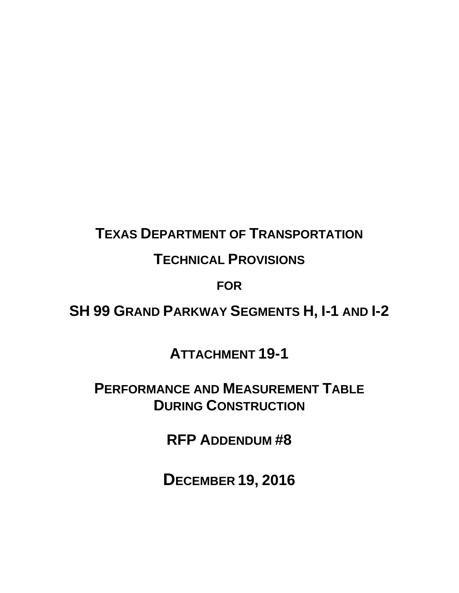# **TEXAS DEPARTMENT OF TRANSPORTATION**

## **TECHNICAL PROVISIONS**

### **FOR**

**SH 99 GRAND PARKWAY SEGMENTS H, I-1 AND I-2** 

**ATTACHMENT 19-1** 

**PERFORMANCE AND MEASUREMENT TABLE DURING CONSTRUCTION**

**RFP ADDENDUM #8** 

**DECEMBER 19, 2016**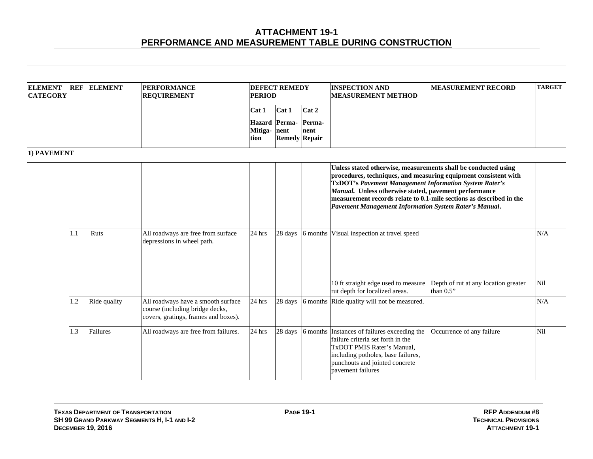| <b>ELEMENT</b><br><b>CATEGORY</b> | <b>REF</b> | <b>ELEMENT</b> | <b>PERFORMANCE</b><br><b>REQUIREMENT</b>                                                                      | <b>PERIOD</b>                             | <b>DEFECT REMEDY</b>                            |                         | <b>INSPECTION AND</b><br><b>MEASUREMENT METHOD</b>                                                                                                                                                                                                                                                                                                                                           | <b>MEASUREMENT RECORD</b>                         | <b>TARGET</b> |
|-----------------------------------|------------|----------------|---------------------------------------------------------------------------------------------------------------|-------------------------------------------|-------------------------------------------------|-------------------------|----------------------------------------------------------------------------------------------------------------------------------------------------------------------------------------------------------------------------------------------------------------------------------------------------------------------------------------------------------------------------------------------|---------------------------------------------------|---------------|
|                                   |            |                |                                                                                                               | Cat 1<br><b>Hazard</b><br>Mitiga-<br>tion | Cat 1<br>Perma-<br>nent<br><b>Remedy Repair</b> | Cat 2<br>Perma-<br>nent |                                                                                                                                                                                                                                                                                                                                                                                              |                                                   |               |
| 1) PAVEMENT                       |            |                |                                                                                                               |                                           |                                                 |                         |                                                                                                                                                                                                                                                                                                                                                                                              |                                                   |               |
|                                   |            |                |                                                                                                               |                                           |                                                 |                         | Unless stated otherwise, measurements shall be conducted using<br>procedures, techniques, and measuring equipment consistent with<br><b>TxDOT's Pavement Management Information System Rater's</b><br>Manual. Unless otherwise stated, pavement performance<br>measurement records relate to 0.1-mile sections as described in the<br>Pavement Management Information System Rater's Manual. |                                                   |               |
|                                   | 1.1        | Ruts           | All roadways are free from surface<br>depressions in wheel path.                                              | 24 hrs                                    |                                                 |                         | 28 days 6 months Visual inspection at travel speed                                                                                                                                                                                                                                                                                                                                           |                                                   | N/A           |
|                                   |            |                |                                                                                                               |                                           |                                                 |                         | 10 ft straight edge used to measure<br>rut depth for localized areas.                                                                                                                                                                                                                                                                                                                        | Depth of rut at any location greater<br>than 0.5" | Nil           |
|                                   | 1.2        | Ride quality   | All roadways have a smooth surface<br>course (including bridge decks,<br>covers, gratings, frames and boxes). | $24$ hrs                                  |                                                 |                         | 28 days 6 months Ride quality will not be measured.                                                                                                                                                                                                                                                                                                                                          |                                                   | N/A           |
|                                   | 1.3        | Failures       | All roadways are free from failures.                                                                          | $24$ hrs                                  | 28 days                                         |                         | 6 months Instances of failures exceeding the<br>failure criteria set forth in the<br>TxDOT PMIS Rater's Manual,<br>including potholes, base failures,<br>punchouts and jointed concrete<br>payement failures                                                                                                                                                                                 | Occurrence of any failure                         | Nil           |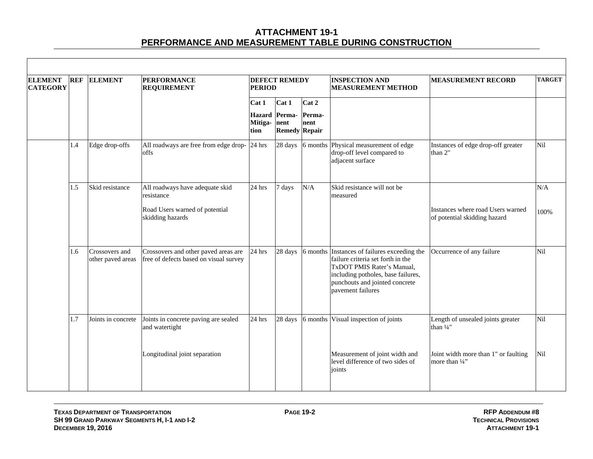| <b>ELEMENT</b><br><b>CATEGORY</b> | <b>REF</b> | <b>ELEMENT</b>                      | <b>PERFORMANCE</b><br><b>REQUIREMENT</b>                                                            | <b>PERIOD</b>            | <b>DEFECT REMEDY</b>                                   |                         | <b>INSPECTION AND</b><br><b>MEASUREMENT METHOD</b>                                                                                                                                                           | <b>MEASUREMENT RECORD</b>                                         | <b>TARGET</b> |
|-----------------------------------|------------|-------------------------------------|-----------------------------------------------------------------------------------------------------|--------------------------|--------------------------------------------------------|-------------------------|--------------------------------------------------------------------------------------------------------------------------------------------------------------------------------------------------------------|-------------------------------------------------------------------|---------------|
|                                   |            |                                     |                                                                                                     | Cat 1<br>Mitiga-<br>tion | Cat 1<br>Hazard Perma-<br>nent<br><b>Remedy Repair</b> | Cat 2<br>Perma-<br>nent |                                                                                                                                                                                                              |                                                                   |               |
|                                   | 1.4        | Edge drop-offs                      | All roadways are free from edge drop-<br>offs                                                       | 24 hrs                   | 28 days                                                | $6$ months $\,$         | Physical measurement of edge<br>drop-off level compared to<br>adjacent surface                                                                                                                               | Instances of edge drop-off greater<br>than 2"                     | Nil           |
|                                   | 1.5        | Skid resistance                     | All roadways have adequate skid<br>resistance<br>Road Users warned of potential<br>skidding hazards | 24 hrs                   | 7 days                                                 | N/A                     | Skid resistance will not be<br>measured                                                                                                                                                                      | Instances where road Users warned<br>of potential skidding hazard | N/A<br>100%   |
|                                   | 1.6        | Crossovers and<br>other paved areas | Crossovers and other paved areas are<br>free of defects based on visual survey                      | 24 hrs                   | 28 days                                                |                         | 6 months Instances of failures exceeding the<br>failure criteria set forth in the<br>TxDOT PMIS Rater's Manual,<br>including potholes, base failures,<br>punchouts and jointed concrete<br>pavement failures | Occurrence of any failure                                         | Nil           |
|                                   | 1.7        | Joints in concrete                  | Joints in concrete paving are sealed<br>and watertight                                              | 24 hrs                   | 28 days                                                | 6 months                | Visual inspection of joints                                                                                                                                                                                  | Length of unsealed joints greater<br>than $\frac{1}{4}$ "         | Nil           |
|                                   |            |                                     | Longitudinal joint separation                                                                       |                          |                                                        |                         | Measurement of joint width and<br>level difference of two sides of<br>joints                                                                                                                                 | Joint width more than 1" or faulting<br>more than 1/4"            | Nil           |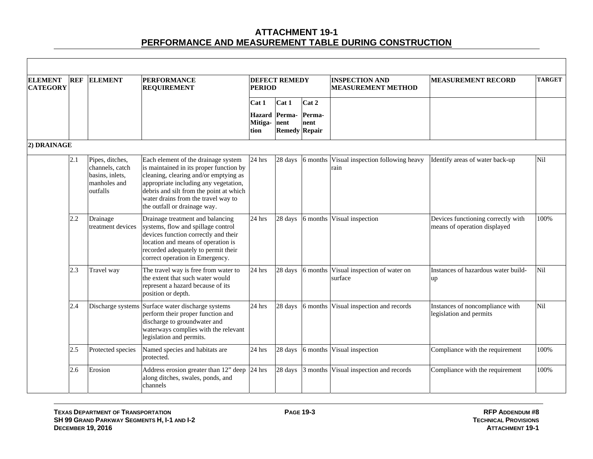| <b>ELEMENT</b><br><b>CATEGORY</b> | <b>REF</b> | <b>ELEMENT</b>                                                                    | <b>PERFORMANCE</b><br><b>REQUIREMENT</b>                                                                                                                                                                                                                                           | <b>PERIOD</b>            | <b>DEFECT REMEDY</b>                                   |                         | <b>INSPECTION AND</b><br><b>MEASUREMENT METHOD</b> | <b>MEASUREMENT RECORD</b>                                          | <b>TARGET</b> |
|-----------------------------------|------------|-----------------------------------------------------------------------------------|------------------------------------------------------------------------------------------------------------------------------------------------------------------------------------------------------------------------------------------------------------------------------------|--------------------------|--------------------------------------------------------|-------------------------|----------------------------------------------------|--------------------------------------------------------------------|---------------|
|                                   |            |                                                                                   |                                                                                                                                                                                                                                                                                    | Cat 1<br>Mitiga-<br>tion | Cat 1<br>Hazard Perma-<br>nent<br><b>Remedy Repair</b> | Cat 2<br>Perma-<br>nent |                                                    |                                                                    |               |
| 2) DRAINAGE                       |            |                                                                                   |                                                                                                                                                                                                                                                                                    |                          |                                                        |                         |                                                    |                                                                    |               |
|                                   | 2.1        | Pipes, ditches,<br>channels, catch<br>basins, inlets,<br>manholes and<br>outfalls | Each element of the drainage system<br>is maintained in its proper function by<br>cleaning, clearing and/or emptying as<br>appropriate including any vegetation,<br>debris and silt from the point at which<br>water drains from the travel way to<br>the outfall or drainage way. | 24 hrs                   | 28 days                                                |                         | 6 months Visual inspection following heavy<br>rain | Identify areas of water back-up                                    | <b>Nil</b>    |
|                                   | 2.2        | Drainage<br>treatment devices                                                     | Drainage treatment and balancing<br>systems, flow and spillage control<br>devices function correctly and their<br>location and means of operation is<br>recorded adequately to permit their<br>correct operation in Emergency.                                                     | 24 hrs                   | 28 days                                                | 6 months                | Visual inspection                                  | Devices functioning correctly with<br>means of operation displayed | 100%          |
|                                   | 2.3        | Travel way                                                                        | The travel way is free from water to<br>the extent that such water would<br>represent a hazard because of its<br>position or depth.                                                                                                                                                | 24 hrs                   | 28 days                                                | 6 months                | Visual inspection of water on<br>surface           | Instances of hazardous water build-<br>$\mathbf{u}$                | Nil           |
|                                   | 2.4        |                                                                                   | Discharge systems Surface water discharge systems<br>perform their proper function and<br>discharge to groundwater and<br>waterways complies with the relevant<br>legislation and permits.                                                                                         | 24 hrs                   | 28 days                                                | 6 months                | Visual inspection and records                      | Instances of noncompliance with<br>legislation and permits         | Nil           |
|                                   | 2.5        | Protected species                                                                 | Named species and habitats are<br>protected.                                                                                                                                                                                                                                       | 24 hrs                   | 28 days                                                | 6 months                | Visual inspection                                  | Compliance with the requirement                                    | 100%          |
|                                   | 2.6        | Erosion                                                                           | Address erosion greater than $12$ " deep 24 hrs<br>along ditches, swales, ponds, and<br>channels                                                                                                                                                                                   |                          | 28 days                                                | 3 months                | Visual inspection and records                      | Compliance with the requirement                                    | 100%          |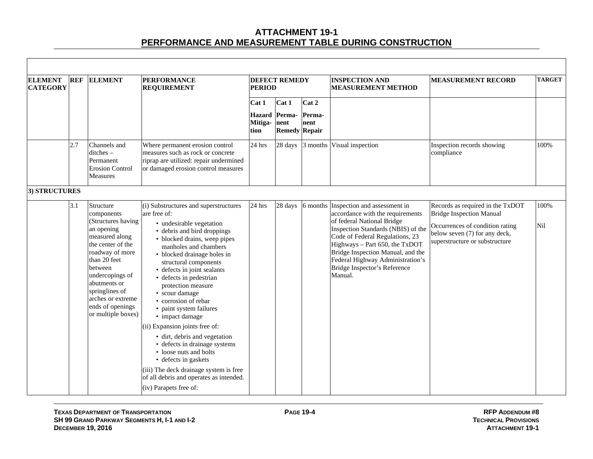| <b>ELEMENT</b><br><b>CATEGORY</b> | <b>REF</b> | <b>ELEMENT</b>                                                                                                                                                                                                                                                       | <b>PERFORMANCE</b><br><b>REQUIREMENT</b>                                                                                                                                                                                                                                                                                                                                                                                                                                                                                                                                                                                                                                       | <b>PERIOD</b>                             | <b>DEFECT REMEDY</b>                            |                         | <b>INSPECTION AND</b><br><b>MEASUREMENT METHOD</b>                                                                                                                                                                                                                                                                            | <b>MEASUREMENT RECORD</b>                                                                                                                                                 | <b>TARGET</b> |
|-----------------------------------|------------|----------------------------------------------------------------------------------------------------------------------------------------------------------------------------------------------------------------------------------------------------------------------|--------------------------------------------------------------------------------------------------------------------------------------------------------------------------------------------------------------------------------------------------------------------------------------------------------------------------------------------------------------------------------------------------------------------------------------------------------------------------------------------------------------------------------------------------------------------------------------------------------------------------------------------------------------------------------|-------------------------------------------|-------------------------------------------------|-------------------------|-------------------------------------------------------------------------------------------------------------------------------------------------------------------------------------------------------------------------------------------------------------------------------------------------------------------------------|---------------------------------------------------------------------------------------------------------------------------------------------------------------------------|---------------|
|                                   |            |                                                                                                                                                                                                                                                                      |                                                                                                                                                                                                                                                                                                                                                                                                                                                                                                                                                                                                                                                                                | Cat 1<br><b>Hazard</b><br>Mitiga-<br>tion | Cat 1<br>Perma-<br>nent<br><b>Remedy Repair</b> | Cat 2<br>Perma-<br>nent |                                                                                                                                                                                                                                                                                                                               |                                                                                                                                                                           |               |
|                                   | 2.7        | Channels and<br>ditches-<br>Permanent<br><b>Erosion Control</b><br><b>Measures</b>                                                                                                                                                                                   | Where permanent erosion control<br>measures such as rock or concrete<br>riprap are utilized: repair undermined<br>or damaged erosion control measures                                                                                                                                                                                                                                                                                                                                                                                                                                                                                                                          | 24 hrs                                    | 28 days                                         | 3 months                | Visual inspection                                                                                                                                                                                                                                                                                                             | Inspection records showing<br>compliance                                                                                                                                  | 100%          |
| 3) STRUCTURES                     |            |                                                                                                                                                                                                                                                                      |                                                                                                                                                                                                                                                                                                                                                                                                                                                                                                                                                                                                                                                                                |                                           |                                                 |                         |                                                                                                                                                                                                                                                                                                                               |                                                                                                                                                                           |               |
|                                   | 3.1        | Structure<br>components<br>(Structures having<br>an opening<br>measured along<br>the center of the<br>roadway of more<br>than 20 feet<br>between<br>undercopings of<br>abutments or<br>springlines of<br>arches or extreme<br>ends of openings<br>or multiple boxes) | (i) Substructures and superstructures<br>are free of:<br>• undesirable vegetation<br>• debris and bird droppings<br>• blocked drains, weep pipes<br>manholes and chambers<br>• blocked drainage holes in<br>structural components<br>• defects in joint sealants<br>· defects in pedestrian<br>protection measure<br>• scour damage<br>• corrosion of rebar<br>• paint system failures<br>• impact damage<br>(ii) Expansion joints free of:<br>· dirt, debris and vegetation<br>• defects in drainage systems<br>• loose nuts and bolts<br>• defects in gaskets<br>(iii) The deck drainage system is free<br>of all debris and operates as intended.<br>(iv) Parapets free of: | 24 hrs                                    | 28 days                                         | 6 months                | Inspection and assessment in<br>accordance with the requirements<br>of federal National Bridge<br>Inspection Standards (NBIS) of the<br>Code of Federal Regulations, 23<br>Highways - Part 650, the TxDOT<br>Bridge Inspection Manual, and the<br>Federal Highway Administration's<br>Bridge Inspector's Reference<br>Manual. | Records as required in the TxDOT<br><b>Bridge Inspection Manual</b><br>Occurrences of condition rating<br>below seven (7) for any deck,<br>superstructure or substructure | 100%<br>Nil   |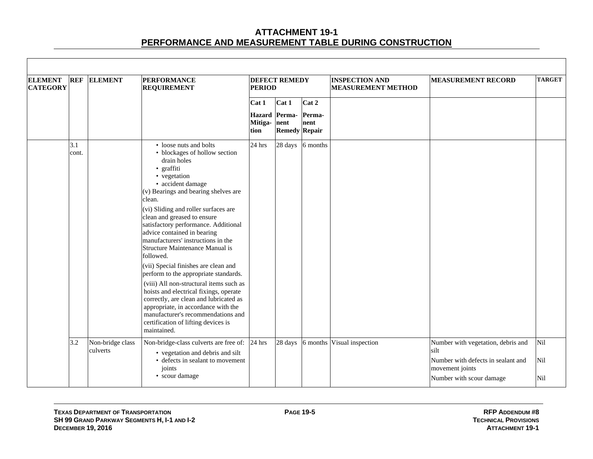| <b>ELEMENT</b><br><b>CATEGORY</b> | <b>REF</b>   | <b>ELEMENT</b>               | <b>PERFORMANCE</b><br><b>REQUIREMENT</b>                                                                                                                                                                                                                                                                                                                                                                                                                                                                                                                                                                                                                                                                                                                           | <b>PERIOD</b>                 | <b>DEFECT REMEDY</b>                           |                         | <b>INSPECTION AND</b><br><b>MEASUREMENT METHOD</b> | <b>MEASUREMENT RECORD</b>                             | <b>TARGET</b> |
|-----------------------------------|--------------|------------------------------|--------------------------------------------------------------------------------------------------------------------------------------------------------------------------------------------------------------------------------------------------------------------------------------------------------------------------------------------------------------------------------------------------------------------------------------------------------------------------------------------------------------------------------------------------------------------------------------------------------------------------------------------------------------------------------------------------------------------------------------------------------------------|-------------------------------|------------------------------------------------|-------------------------|----------------------------------------------------|-------------------------------------------------------|---------------|
|                                   |              |                              |                                                                                                                                                                                                                                                                                                                                                                                                                                                                                                                                                                                                                                                                                                                                                                    | Cat 1<br>Mitiga- nent<br>tion | Cat 1<br>Hazard Perma-<br><b>Remedy Repair</b> | Cat 2<br>Perma-<br>nent |                                                    |                                                       |               |
|                                   | 3.1<br>cont. |                              | • loose nuts and bolts<br>• blockages of hollow section<br>drain holes<br>· graffiti<br>• vegetation<br>· accident damage<br>(v) Bearings and bearing shelves are<br>clean.<br>(vi) Sliding and roller surfaces are<br>clean and greased to ensure<br>satisfactory performance. Additional<br>advice contained in bearing<br>manufacturers' instructions in the<br>Structure Maintenance Manual is<br>followed.<br>(vii) Special finishes are clean and<br>perform to the appropriate standards.<br>(viii) All non-structural items such as<br>hoists and electrical fixings, operate<br>correctly, are clean and lubricated as<br>appropriate, in accordance with the<br>manufacturer's recommendations and<br>certification of lifting devices is<br>maintained. | $24$ hrs                      |                                                | 28 days 6 months        |                                                    |                                                       |               |
|                                   | 3.2          | Non-bridge class<br>culverts | Non-bridge-class culverts are free of: 24 hrs<br>• vegetation and debris and silt                                                                                                                                                                                                                                                                                                                                                                                                                                                                                                                                                                                                                                                                                  |                               | 28 days                                        | 6 months                | Visual inspection                                  | Number with vegetation, debris and<br>silt            | Nil           |
|                                   |              |                              | • defects in sealant to movement<br>joints                                                                                                                                                                                                                                                                                                                                                                                                                                                                                                                                                                                                                                                                                                                         |                               |                                                |                         |                                                    | Number with defects in sealant and<br>movement joints | Nil           |
|                                   |              |                              | • scour damage                                                                                                                                                                                                                                                                                                                                                                                                                                                                                                                                                                                                                                                                                                                                                     |                               |                                                |                         |                                                    | Number with scour damage                              | Nil           |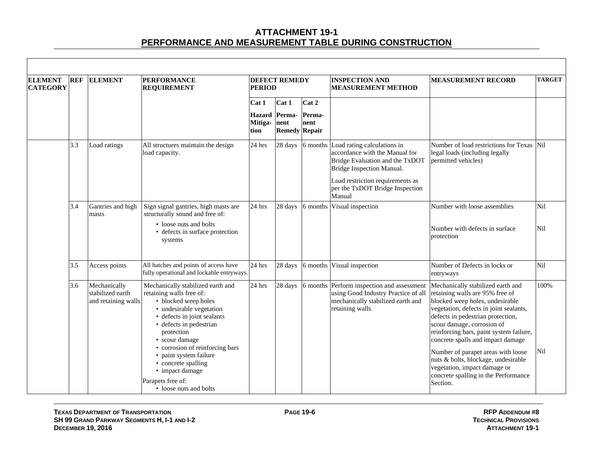| <b>ELEMENT</b><br><b>CATEGORY</b> | <b>REF</b> | <b>ELEMENT</b>                                          | <b>PERFORMANCE</b><br><b>REQUIREMENT</b>                                                                                                                                                                                                                                                                                                                          | <b>PERIOD</b>                    | <b>DEFECT REMEDY</b>                   |                | <b>INSPECTION AND</b><br><b>MEASUREMENT METHOD</b>                                                                                                                                                   | <b>MEASUREMENT RECORD</b>                                                                                                                                                                                                                                                                                                                                                                                                                                             | <b>TARGET</b>     |
|-----------------------------------|------------|---------------------------------------------------------|-------------------------------------------------------------------------------------------------------------------------------------------------------------------------------------------------------------------------------------------------------------------------------------------------------------------------------------------------------------------|----------------------------------|----------------------------------------|----------------|------------------------------------------------------------------------------------------------------------------------------------------------------------------------------------------------------|-----------------------------------------------------------------------------------------------------------------------------------------------------------------------------------------------------------------------------------------------------------------------------------------------------------------------------------------------------------------------------------------------------------------------------------------------------------------------|-------------------|
|                                   |            |                                                         |                                                                                                                                                                                                                                                                                                                                                                   | Cat 1                            | Cat 1                                  | Cat 2          |                                                                                                                                                                                                      |                                                                                                                                                                                                                                                                                                                                                                                                                                                                       |                   |
|                                   |            |                                                         |                                                                                                                                                                                                                                                                                                                                                                   | <b>Hazard</b><br>Mitiga-<br>tion | Perma-<br>nent<br><b>Remedy Repair</b> | Perma-<br>nent |                                                                                                                                                                                                      |                                                                                                                                                                                                                                                                                                                                                                                                                                                                       |                   |
|                                   | 3.3        | Load ratings                                            | All structures maintain the design<br>load capacity.                                                                                                                                                                                                                                                                                                              | 24 hrs                           | 28 days                                | 6 months       | Load rating calculations in<br>accordance with the Manual for<br>Bridge Evaluation and the TxDOT<br>Bridge Inspection Manual.<br>Load restriction requirements as<br>per the TxDOT Bridge Inspection | Number of load restrictions for Texas<br>legal loads (including legally<br>permitted vehicles)                                                                                                                                                                                                                                                                                                                                                                        | <b>Nil</b>        |
|                                   |            |                                                         |                                                                                                                                                                                                                                                                                                                                                                   |                                  |                                        |                | Manual                                                                                                                                                                                               |                                                                                                                                                                                                                                                                                                                                                                                                                                                                       |                   |
|                                   | 3.4        | Gantries and high<br>masts                              | Sign signal gantries, high masts are<br>structurally sound and free of:<br>• loose nuts and bolts<br>• defects in surface protection<br>systems                                                                                                                                                                                                                   | 24 hrs                           | 28 days                                |                | 6 months Visual inspection                                                                                                                                                                           | Number with loose assemblies<br>Number with defects in surface<br>protection                                                                                                                                                                                                                                                                                                                                                                                          | <b>Nil</b><br>Nil |
|                                   | 3.5        | Access points                                           | All hatches and points of access have<br>fully operational and lockable entryways.                                                                                                                                                                                                                                                                                | 24 hrs                           | 28 days                                | 6 months       | Visual inspection                                                                                                                                                                                    | Number of Defects in locks or<br>entryways                                                                                                                                                                                                                                                                                                                                                                                                                            | Nil               |
|                                   | 3.6        | Mechanically<br>stabilized earth<br>and retaining walls | Mechanically stabilized earth and<br>retaining walls free of:<br>• blocked weep holes<br>• undesirable vegetation<br>• defects in joint sealants<br>• defects in pedestrian<br>protection<br>• scour damage<br>• corrosion of reinforcing bars<br>• paint system failure<br>• concrete spalling<br>• impact damage<br>Parapets free of:<br>• loose nuts and bolts | 24 hrs                           | 28 days                                | 6 months       | Perform inspection and assessment<br>using Good Industry Practice of all<br>mechanically stabilized earth and<br>retaining walls                                                                     | Mechanically stabilized earth and<br>retaining walls are 95% free of<br>blocked weep holes, undesirable<br>vegetation, defects in joint sealants,<br>defects in pedestrian protection,<br>scour damage, corrosion of<br>reinforcing bars, paint system failure,<br>concrete spalls and impact damage<br>Number of parapet areas with loose<br>nuts & bolts, blockage, undesirable<br>vegetation, impact damage or<br>concrete spalling in the Performance<br>Section. | 100%<br>Nil       |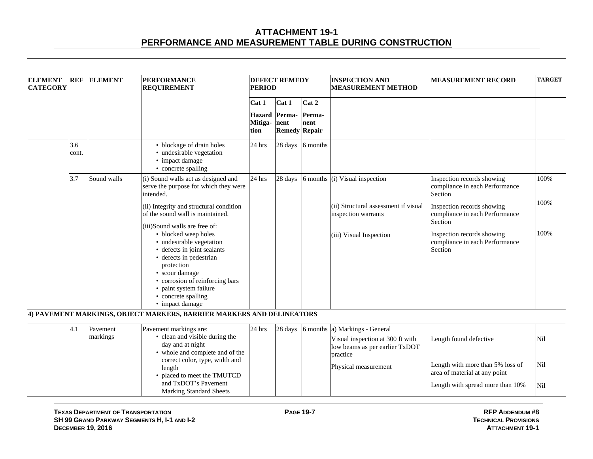| <b>ELEMENT</b><br><b>CATEGORY</b> | <b>REF</b>   | <b>ELEMENT</b>       | <b>PERFORMANCE</b><br><b>REQUIREMENT</b>                                                                                                                                                                                                                                           | <b>PERIOD</b>                    | <b>DEFECT REMEDY</b>                   |                | <b>INSPECTION AND</b><br><b>MEASUREMENT METHOD</b>                                                      | <b>MEASUREMENT RECORD</b>                                               | <b>TARGET</b> |
|-----------------------------------|--------------|----------------------|------------------------------------------------------------------------------------------------------------------------------------------------------------------------------------------------------------------------------------------------------------------------------------|----------------------------------|----------------------------------------|----------------|---------------------------------------------------------------------------------------------------------|-------------------------------------------------------------------------|---------------|
|                                   |              |                      |                                                                                                                                                                                                                                                                                    | Cat 1                            | Cat 1                                  | Cat 2          |                                                                                                         |                                                                         |               |
|                                   |              |                      |                                                                                                                                                                                                                                                                                    | <b>Hazard</b><br>Mitiga-<br>tion | Perma-<br>nent<br><b>Remedy Repair</b> | Perma-<br>nent |                                                                                                         |                                                                         |               |
|                                   | 3.6<br>cont. |                      | • blockage of drain holes<br>• undesirable vegetation<br>• impact damage<br>• concrete spalling                                                                                                                                                                                    | $24$ hrs                         | 28 days                                | 6 months       |                                                                                                         |                                                                         |               |
|                                   | 3.7          | Sound walls          | (i) Sound walls act as designed and<br>serve the purpose for which they were<br>intended.                                                                                                                                                                                          | 24 hrs                           | 28 days                                | 6 months       | (i) Visual inspection                                                                                   | Inspection records showing<br>compliance in each Performance<br>Section | 100%          |
|                                   |              |                      | (ii) Integrity and structural condition<br>of the sound wall is maintained.                                                                                                                                                                                                        |                                  |                                        |                | (ii) Structural assessment if visual<br>inspection warrants                                             | Inspection records showing<br>compliance in each Performance<br>Section | 100%          |
|                                   |              |                      | (iii)Sound walls are free of:<br>• blocked weep holes<br>• undesirable vegetation<br>• defects in joint sealants<br>• defects in pedestrian<br>protection<br>• scour damage<br>• corrosion of reinforcing bars<br>• paint system failure<br>• concrete spalling<br>• impact damage |                                  |                                        |                | (iii) Visual Inspection                                                                                 | Inspection records showing<br>compliance in each Performance<br>Section | 100%          |
|                                   |              |                      | 4) PAVEMENT MARKINGS, OBJECT MARKERS, BARRIER MARKERS AND DELINEATORS                                                                                                                                                                                                              |                                  |                                        |                |                                                                                                         |                                                                         |               |
|                                   | 4.1          | Pavement<br>markings | Pavement markings are:<br>• clean and visible during the<br>day and at night<br>• whole and complete and of the                                                                                                                                                                    | 24 hrs                           | 28 days                                | 6 months       | a) Markings - General<br>Visual inspection at 300 ft with<br>low beams as per earlier TxDOT<br>practice | Length found defective                                                  | Nil           |
|                                   |              |                      | correct color, type, width and<br>length<br>• placed to meet the TMUTCD                                                                                                                                                                                                            |                                  |                                        |                | Physical measurement                                                                                    | Length with more than 5% loss of<br>area of material at any point       | Nil           |
|                                   |              |                      | and TxDOT's Pavement<br><b>Marking Standard Sheets</b>                                                                                                                                                                                                                             |                                  |                                        |                |                                                                                                         | Length with spread more than 10%                                        | Nil           |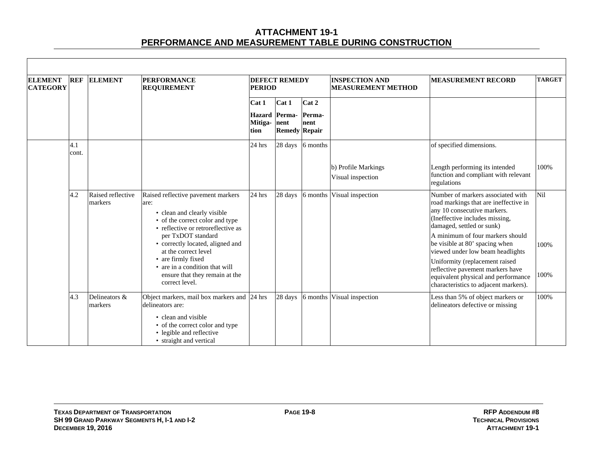| <b>ELEMENT</b><br><b>CATEGORY</b> | <b>REF</b>   | <b>ELEMENT</b>               | <b>PERFORMANCE</b><br><b>REQUIREMENT</b>                                                                                                           | <b>PERIOD</b>                                | <b>DEFECT REMEDY</b> |                  | <b>INSPECTION AND</b><br><b>MEASUREMENT METHOD</b> | <b>MEASUREMENT RECORD</b>                                                                                                                                                | <b>TARGET</b> |
|-----------------------------------|--------------|------------------------------|----------------------------------------------------------------------------------------------------------------------------------------------------|----------------------------------------------|----------------------|------------------|----------------------------------------------------|--------------------------------------------------------------------------------------------------------------------------------------------------------------------------|---------------|
|                                   |              |                              |                                                                                                                                                    | Cat 1                                        | Cat 1                | Cat 2            |                                                    |                                                                                                                                                                          |               |
|                                   |              |                              |                                                                                                                                                    | <b>Hazard</b> Perma-<br>Mitiga- nent<br>tion | <b>Remedy Repair</b> | Perma-<br>nent   |                                                    |                                                                                                                                                                          |               |
|                                   | 4.1<br>cont. |                              |                                                                                                                                                    | 24 hrs                                       |                      | 28 days 6 months |                                                    | of specified dimensions.                                                                                                                                                 |               |
|                                   |              |                              |                                                                                                                                                    |                                              |                      |                  | b) Profile Markings<br>Visual inspection           | Length performing its intended<br>function and compliant with relevant<br>regulations                                                                                    | 100%          |
|                                   | 4.2          | Raised reflective<br>markers | Raised reflective pavement markers<br>are:<br>• clean and clearly visible<br>• of the correct color and type<br>• reflective or retroreflective as | 24 hrs                                       | 28 days              |                  | 6 months Visual inspection                         | Number of markers associated with<br>road markings that are ineffective in<br>any 10 consecutive markers.<br>(Ineffective includes missing,<br>damaged, settled or sunk) | Nil           |
|                                   |              |                              | per TxDOT standard<br>• correctly located, aligned and<br>at the correct level<br>• are firmly fixed                                               |                                              |                      |                  |                                                    | A minimum of four markers should<br>be visible at 80' spacing when<br>viewed under low beam headlights                                                                   | 100%          |
|                                   |              |                              | • are in a condition that will<br>ensure that they remain at the<br>correct level.                                                                 |                                              |                      |                  |                                                    | Uniformity (replacement raised<br>reflective pavement markers have<br>equivalent physical and performance<br>characteristics to adjacent markers).                       | 100%          |
|                                   | 4.3          | Delineators &<br>markers     | Object markers, mail box markers and<br>delineators are:                                                                                           | 24 hrs                                       |                      |                  | 28 days 6 months Visual inspection                 | Less than 5% of object markers or<br>delineators defective or missing                                                                                                    | 100%          |
|                                   |              |                              | • clean and visible<br>• of the correct color and type<br>• legible and reflective<br>• straight and vertical                                      |                                              |                      |                  |                                                    |                                                                                                                                                                          |               |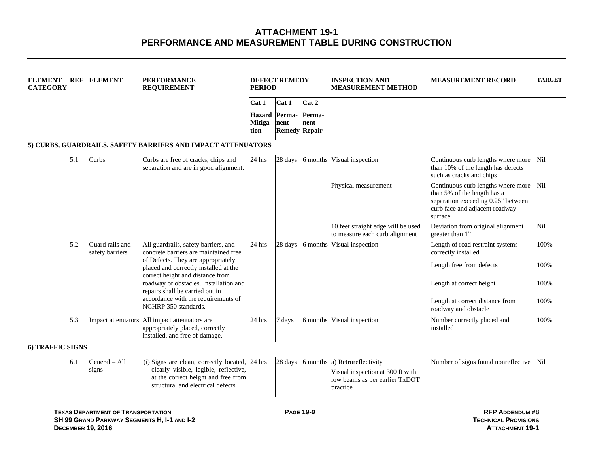| <b>ELEMENT</b><br><b>CATEGORY</b> | <b>REF</b> | <b>ELEMENT</b>                     | <b>PERFORMANCE</b><br><b>REQUIREMENT</b>                                                                                                                            | <b>PERIOD</b>                | <b>DEFECT REMEDY</b>                           |                         | <b>INSPECTION AND</b><br><b>MEASUREMENT METHOD</b>                                                     | <b>MEASUREMENT RECORD</b>                                                                                                                            | <b>TARGET</b> |
|-----------------------------------|------------|------------------------------------|---------------------------------------------------------------------------------------------------------------------------------------------------------------------|------------------------------|------------------------------------------------|-------------------------|--------------------------------------------------------------------------------------------------------|------------------------------------------------------------------------------------------------------------------------------------------------------|---------------|
|                                   |            |                                    |                                                                                                                                                                     | Cat 1<br>Mitiga-nent<br>tion | Cat 1<br>Hazard Perma-<br><b>Remedy Repair</b> | Cat 2<br>Perma-<br>nent |                                                                                                        |                                                                                                                                                      |               |
|                                   |            |                                    | 5) CURBS, GUARDRAILS, SAFETY BARRIERS AND IMPACT ATTENUATORS                                                                                                        |                              |                                                |                         |                                                                                                        |                                                                                                                                                      |               |
|                                   | 5.1        | Curbs                              | Curbs are free of cracks, chips and<br>separation and are in good alignment.                                                                                        | 24 hrs                       | 28 days                                        | 6 months                | Visual inspection                                                                                      | Continuous curb lengths where more<br>than 10% of the length has defects<br>such as cracks and chips                                                 | <b>Nil</b>    |
|                                   |            |                                    |                                                                                                                                                                     |                              |                                                |                         | Physical measurement                                                                                   | Continuous curb lengths where more<br>than 5% of the length has a<br>separation exceeding 0.25" between<br>curb face and adjacent roadway<br>surface | Nil           |
|                                   |            |                                    |                                                                                                                                                                     |                              |                                                |                         | 10 feet straight edge will be used<br>to measure each curb alignment                                   | Deviation from original alignment<br>greater than 1"                                                                                                 | Nil           |
|                                   | 5.2        | Guard rails and<br>safety barriers | All guardrails, safety barriers, and<br>concrete barriers are maintained free                                                                                       | 24 hrs                       | 28 days                                        | 6 months                | Visual inspection                                                                                      | Length of road restraint systems<br>correctly installed                                                                                              | 100%          |
|                                   |            |                                    | of Defects. They are appropriately<br>placed and correctly installed at the<br>correct height and distance from                                                     |                              |                                                |                         |                                                                                                        | Length free from defects                                                                                                                             | 100%          |
|                                   |            |                                    | roadway or obstacles. Installation and<br>repairs shall be carried out in                                                                                           |                              |                                                |                         |                                                                                                        | Length at correct height                                                                                                                             | 100%          |
|                                   |            |                                    | accordance with the requirements of<br>NCHRP 350 standards.                                                                                                         |                              |                                                |                         |                                                                                                        | Length at correct distance from<br>roadway and obstacle                                                                                              | 100%          |
|                                   | 5.3        |                                    | Impact attenuators All impact attenuators are<br>appropriately placed, correctly<br>installed, and free of damage.                                                  | 24 hrs                       | 7 days                                         | 6 months                | Visual inspection                                                                                      | Number correctly placed and<br>installed                                                                                                             | 100%          |
| 6) TRAFFIC SIGNS                  |            |                                    |                                                                                                                                                                     |                              |                                                |                         |                                                                                                        |                                                                                                                                                      |               |
|                                   | 6.1        | General - All<br>signs             | (i) Signs are clean, correctly located, 24 hrs<br>clearly visible, legible, reflective,<br>at the correct height and free from<br>structural and electrical defects |                              | 28 days                                        | 6 months                | a) Retroreflectivity<br>Visual inspection at 300 ft with<br>low beams as per earlier TxDOT<br>practice | Number of signs found nonreflective                                                                                                                  | Nil           |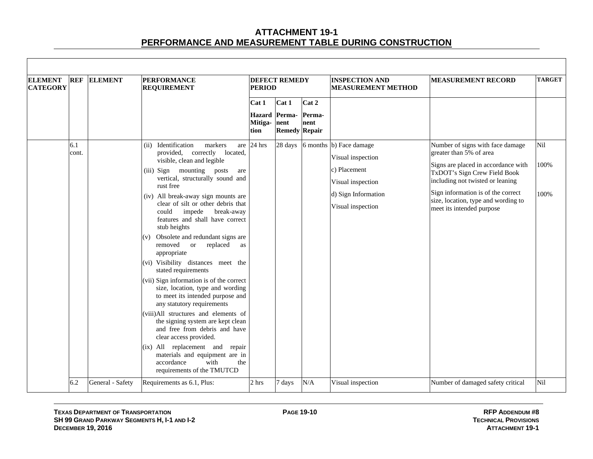| <b>ELEMENT</b><br><b>CATEGORY</b> | <b>REF</b>   | <b>ELEMENT</b>   | <b>PERFORMANCE</b><br><b>REQUIREMENT</b>                                                                                                                                                                                                                                                                                                                                                                                                                                                                                                                                                                                                                                                                                                                                                                                                                                                                                                                 | <b>PERIOD</b>                 | <b>DEFECT REMEDY</b>                           |                         | <b>INSPECTION AND</b><br><b>MEASUREMENT METHOD</b>                                                                            | <b>MEASUREMENT RECORD</b>                                                                                                                                                                                                                                                        | <b>TARGET</b>       |
|-----------------------------------|--------------|------------------|----------------------------------------------------------------------------------------------------------------------------------------------------------------------------------------------------------------------------------------------------------------------------------------------------------------------------------------------------------------------------------------------------------------------------------------------------------------------------------------------------------------------------------------------------------------------------------------------------------------------------------------------------------------------------------------------------------------------------------------------------------------------------------------------------------------------------------------------------------------------------------------------------------------------------------------------------------|-------------------------------|------------------------------------------------|-------------------------|-------------------------------------------------------------------------------------------------------------------------------|----------------------------------------------------------------------------------------------------------------------------------------------------------------------------------------------------------------------------------------------------------------------------------|---------------------|
|                                   |              |                  |                                                                                                                                                                                                                                                                                                                                                                                                                                                                                                                                                                                                                                                                                                                                                                                                                                                                                                                                                          | Cat 1<br>Mitiga- nent<br>tion | Cat 1<br>Hazard Perma-<br><b>Remedy Repair</b> | Cat 2<br>Perma-<br>nent |                                                                                                                               |                                                                                                                                                                                                                                                                                  |                     |
|                                   | 6.1<br>cont. |                  | (ii) Identification<br>markers<br>are<br>provided, correctly located,<br>visible, clean and legible<br>(iii) Sign mounting posts<br>are<br>vertical, structurally sound and<br>rust free<br>(iv) All break-away sign mounts are<br>clear of silt or other debris that<br>could<br>impede<br>break-away<br>features and shall have correct<br>stub heights<br>Obsolete and redundant signs are<br>(v)<br>replaced<br>removed<br><sub>or</sub><br>as<br>appropriate<br>(vi) Visibility distances meet the<br>stated requirements<br>(vii) Sign information is of the correct<br>size, location, type and wording<br>to meet its intended purpose and<br>any statutory requirements<br>(viii)All structures and elements of<br>the signing system are kept clean<br>and free from debris and have<br>clear access provided.<br>(ix) All replacement and repair<br>materials and equipment are in<br>accordance<br>with<br>the<br>requirements of the TMUTCD | 24 hrs                        | 28 days                                        |                         | 6 months b) Face damage<br>Visual inspection<br>c) Placement<br>Visual inspection<br>d) Sign Information<br>Visual inspection | Number of signs with face damage<br>greater than 5% of area<br>Signs are placed in accordance with<br>TxDOT's Sign Crew Field Book<br>including not twisted or leaning<br>Sign information is of the correct<br>size, location, type and wording to<br>meet its intended purpose | Nil<br>100%<br>100% |
|                                   | 6.2          | General - Safety | Requirements as 6.1, Plus:                                                                                                                                                                                                                                                                                                                                                                                                                                                                                                                                                                                                                                                                                                                                                                                                                                                                                                                               | 2 hrs                         | 7 days                                         | N/A                     | Visual inspection                                                                                                             | Number of damaged safety critical                                                                                                                                                                                                                                                | Nil                 |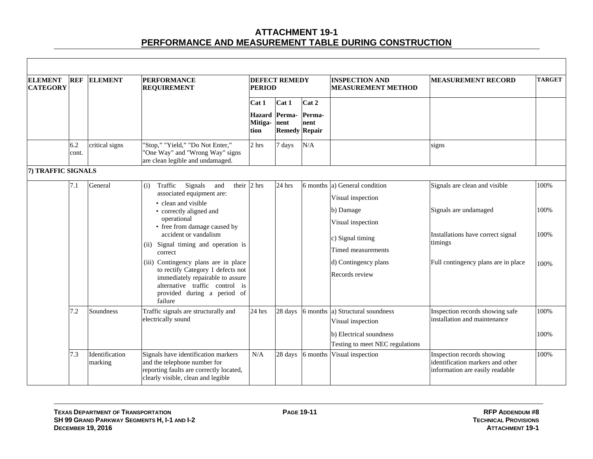| <b>ELEMENT</b><br><b>CATEGORY</b> | <b>REF</b>   | <b>ELEMENT</b>            | <b>PERFORMANCE</b><br><b>REQUIREMENT</b>                                                                                                                                                                                                                                                                                                                                                                                                                      | <b>PERIOD</b>                 | <b>DEFECT REMEDY</b>                           |                         | <b>INSPECTION AND</b><br><b>MEASUREMENT METHOD</b>                                                                                                              | <b>MEASUREMENT RECORD</b>                                                                                                                     | <b>TARGET</b>                |
|-----------------------------------|--------------|---------------------------|---------------------------------------------------------------------------------------------------------------------------------------------------------------------------------------------------------------------------------------------------------------------------------------------------------------------------------------------------------------------------------------------------------------------------------------------------------------|-------------------------------|------------------------------------------------|-------------------------|-----------------------------------------------------------------------------------------------------------------------------------------------------------------|-----------------------------------------------------------------------------------------------------------------------------------------------|------------------------------|
|                                   |              |                           |                                                                                                                                                                                                                                                                                                                                                                                                                                                               | Cat 1<br>Mitiga- nent<br>tion | Cat 1<br>Hazard Perma-<br><b>Remedy Repair</b> | Cat 2<br>Perma-<br>nent |                                                                                                                                                                 |                                                                                                                                               |                              |
|                                   | 6.2<br>cont. | critical signs            | 'Stop," "Yield," "Do Not Enter,"<br>'One Way" and "Wrong Way" signs<br>are clean legible and undamaged.                                                                                                                                                                                                                                                                                                                                                       | 2 hrs                         | 7 days                                         | N/A                     |                                                                                                                                                                 | signs                                                                                                                                         |                              |
| 7) TRAFFIC SIGNALS                |              |                           |                                                                                                                                                                                                                                                                                                                                                                                                                                                               |                               |                                                |                         |                                                                                                                                                                 |                                                                                                                                               |                              |
|                                   | 7.1          | General                   | their $\vert$ 2 hrs<br>Traffic<br>Signals<br>and<br>(i)<br>associated equipment are:<br>• clean and visible<br>• correctly aligned and<br>operational<br>• free from damage caused by<br>accident or vandalism<br>(ii) Signal timing and operation is<br>correct<br>(iii) Contingency plans are in place<br>to rectify Category 1 defects not<br>immediately repairable to assure<br>alternative traffic control is<br>provided during a period of<br>failure |                               | 24 hrs                                         | 6 months                | a) General condition<br>Visual inspection<br>b) Damage<br>Visual inspection<br>c) Signal timing<br>Timed measurements<br>d) Contingency plans<br>Records review | Signals are clean and visible<br>Signals are undamaged<br>Installations have correct signal<br>timings<br>Full contingency plans are in place | 100%<br>100%<br>100%<br>100% |
|                                   | 7.2          | Soundness                 | Traffic signals are structurally and<br>electrically sound                                                                                                                                                                                                                                                                                                                                                                                                    | 24 hrs                        | 28 days                                        |                         | 6 months a) Structural soundness<br>Visual inspection<br>b) Electrical soundness<br>Testing to meet NEC regulations                                             | Inspection records showing safe<br>installation and maintenance                                                                               | 100%<br>100%                 |
|                                   | 7.3          | Identification<br>marking | Signals have identification markers<br>and the telephone number for<br>reporting faults are correctly located,<br>clearly visible, clean and legible                                                                                                                                                                                                                                                                                                          | $\rm N/A$                     | 28 days                                        | 6 months                | Visual inspection                                                                                                                                               | Inspection records showing<br>lidentification markers and other<br>information are easily readable                                            | 100%                         |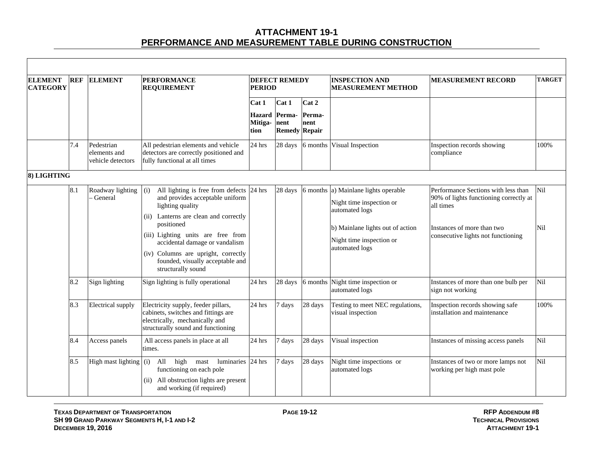| <b>ELEMENT</b><br><b>CATEGORY</b> | <b>REF</b> | <b>ELEMENT</b>                                  | <b>PERFORMANCE</b><br><b>REQUIREMENT</b>                                                                                                                                                                                                                                                                                               | <b>PERIOD</b>                             | <b>DEFECT REMEDY</b>                  |                         | <b>INSPECTION AND</b><br><b>MEASUREMENT METHOD</b>                                                                                                          | <b>MEASUREMENT RECORD</b>                                                                                                                                      | <b>TARGET</b> |
|-----------------------------------|------------|-------------------------------------------------|----------------------------------------------------------------------------------------------------------------------------------------------------------------------------------------------------------------------------------------------------------------------------------------------------------------------------------------|-------------------------------------------|---------------------------------------|-------------------------|-------------------------------------------------------------------------------------------------------------------------------------------------------------|----------------------------------------------------------------------------------------------------------------------------------------------------------------|---------------|
|                                   |            |                                                 |                                                                                                                                                                                                                                                                                                                                        | Cat 1<br>Hazard Perma-<br>Mitiga-<br>tion | Cat 1<br>nent<br><b>Remedy Repair</b> | Cat 2<br>Perma-<br>nent |                                                                                                                                                             |                                                                                                                                                                |               |
|                                   | 7.4        | Pedestrian<br>elements and<br>vehicle detectors | All pedestrian elements and vehicle<br>detectors are correctly positioned and<br>fully functional at all times                                                                                                                                                                                                                         | 24 hrs                                    | 28 days                               | 6 months                | Visual Inspection                                                                                                                                           | Inspection records showing<br>compliance                                                                                                                       | 100%          |
| 8) LIGHTING                       |            |                                                 |                                                                                                                                                                                                                                                                                                                                        |                                           |                                       |                         |                                                                                                                                                             |                                                                                                                                                                |               |
|                                   | 8.1        | Roadway lighting<br>General                     | All lighting is free from defects 24 hrs<br>(i)<br>and provides acceptable uniform<br>lighting quality<br>(ii) Lanterns are clean and correctly<br>positioned<br>(iii) Lighting units are free from<br>accidental damage or vandalism<br>(iv) Columns are upright, correctly<br>founded, visually acceptable and<br>structurally sound |                                           | 28 days                               | 6 months                | a) Mainlane lights operable<br>Night time inspection or<br>automated logs<br>b) Mainlane lights out of action<br>Night time inspection or<br>automated logs | Performance Sections with less than<br>90% of lights functioning correctly at<br>all times<br>Instances of more than two<br>consecutive lights not functioning | Nil<br>Nil    |
|                                   | 8.2        | Sign lighting                                   | Sign lighting is fully operational                                                                                                                                                                                                                                                                                                     | 24 hrs                                    | 28 days                               | 6 months                | Night time inspection or<br>automated logs                                                                                                                  | Instances of more than one bulb per<br>sign not working                                                                                                        | Nil           |
|                                   | 8.3        | <b>Electrical</b> supply                        | Electricity supply, feeder pillars,<br>cabinets, switches and fittings are<br>electrically, mechanically and<br>structurally sound and functioning                                                                                                                                                                                     | 24 hrs                                    | 7 days                                | 28 days                 | Testing to meet NEC regulations,<br>visual inspection                                                                                                       | Inspection records showing safe<br>installation and maintenance                                                                                                | 100%          |
|                                   | 8.4        | Access panels                                   | All access panels in place at all<br>times.                                                                                                                                                                                                                                                                                            | 24 hrs                                    | 7 days                                | 28 days                 | Visual inspection                                                                                                                                           | Instances of missing access panels                                                                                                                             | Nil           |
|                                   | 8.5        | High mast lighting                              | high mast<br>luminaries 24 hrs<br>$(i)$ All<br>functioning on each pole<br>(ii) All obstruction lights are present<br>and working (if required)                                                                                                                                                                                        |                                           | 7 days                                | 28 days                 | Night time inspections or<br>automated logs                                                                                                                 | Instances of two or more lamps not<br>working per high mast pole                                                                                               | Nil           |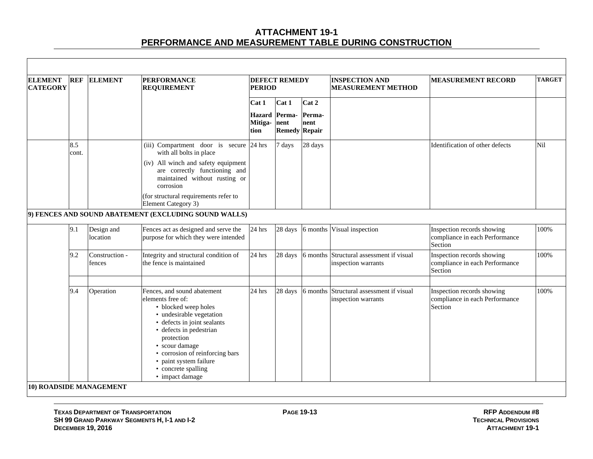| <b>ELEMENT</b><br><b>CATEGORY</b> | <b>REF</b>   | <b>ELEMENT</b>           | <b>PERFORMANCE</b><br><b>REQUIREMENT</b>                                                                                                                                                                                                                                                              | <b>PERIOD</b>                     | <b>DEFECT REMEDY</b>           |                         | <b>INSPECTION AND</b><br><b>MEASUREMENT METHOD</b>     | <b>MEASUREMENT RECORD</b>                                               | <b>TARGET</b> |
|-----------------------------------|--------------|--------------------------|-------------------------------------------------------------------------------------------------------------------------------------------------------------------------------------------------------------------------------------------------------------------------------------------------------|-----------------------------------|--------------------------------|-------------------------|--------------------------------------------------------|-------------------------------------------------------------------------|---------------|
|                                   |              |                          |                                                                                                                                                                                                                                                                                                       | Cat 1<br><b>Hazard</b><br>Mitiga- | Cat 1<br>Perma-<br>nent        | Cat 2<br>Perma-<br>nent |                                                        |                                                                         |               |
|                                   | 8.5<br>cont. |                          | (iii) Compartment door is secure 24 hrs<br>with all bolts in place<br>(iv) All winch and safety equipment                                                                                                                                                                                             | tion                              | <b>Remedy Repair</b><br>7 days | 28 days                 |                                                        | Identification of other defects                                         | Nil           |
|                                   |              |                          | are correctly functioning and<br>maintained without rusting or<br>corrosion<br>(for structural requirements refer to<br>Element Category 3)                                                                                                                                                           |                                   |                                |                         |                                                        |                                                                         |               |
|                                   |              |                          | 9) FENCES AND SOUND ABATEMENT (EXCLUDING SOUND WALLS)                                                                                                                                                                                                                                                 |                                   |                                |                         |                                                        |                                                                         |               |
|                                   | 9.1          | Design and<br>location   | Fences act as designed and serve the<br>purpose for which they were intended                                                                                                                                                                                                                          | 24 hrs                            | 28 days                        | 6 months                | Visual inspection                                      | Inspection records showing<br>compliance in each Performance<br>Section | 100%          |
|                                   | 9.2          | Construction -<br>fences | Integrity and structural condition of<br>the fence is maintained                                                                                                                                                                                                                                      | 24 hrs                            | 28 days                        | 6 months                | Structural assessment if visual<br>inspection warrants | Inspection records showing<br>compliance in each Performance<br>Section | 100%          |
|                                   | 9.4          | Operation                | Fences, and sound abatement<br>elements free of:<br>• blocked weep holes<br>• undesirable vegetation<br>• defects in joint sealants<br>• defects in pedestrian<br>protection<br>• scour damage<br>• corrosion of reinforcing bars<br>• paint system failure<br>• concrete spalling<br>• impact damage | $24$ hrs                          | 28 days                        | 6 months                | Structural assessment if visual<br>inspection warrants | Inspection records showing<br>compliance in each Performance<br>Section | 100%          |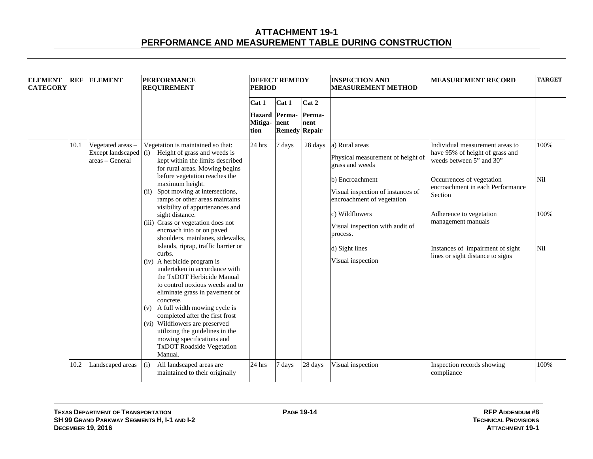| <b>ELEMENT</b>  | <b>REF</b> | <b>ELEMENT</b>                                                  | <b>PERFORMANCE</b>                                                                                                                                                                                                                                                          |                                                                                                                                                                                        | <b>DEFECT REMEDY</b>                           |                         | <b>INSPECTION AND</b>                                                                     | <b>MEASUREMENT RECORD</b>                                                                                                   | <b>TARGET</b>                    |
|-----------------|------------|-----------------------------------------------------------------|-----------------------------------------------------------------------------------------------------------------------------------------------------------------------------------------------------------------------------------------------------------------------------|----------------------------------------------------------------------------------------------------------------------------------------------------------------------------------------|------------------------------------------------|-------------------------|-------------------------------------------------------------------------------------------|-----------------------------------------------------------------------------------------------------------------------------|----------------------------------|
| <b>CATEGORY</b> |            |                                                                 | <b>REQUIREMENT</b>                                                                                                                                                                                                                                                          | <b>PERIOD</b>                                                                                                                                                                          |                                                |                         | <b>MEASUREMENT METHOD</b>                                                                 |                                                                                                                             |                                  |
|                 |            |                                                                 |                                                                                                                                                                                                                                                                             | Cat 1<br>Mitiga- nent<br>tion                                                                                                                                                          | Cat 1<br>Hazard Perma-<br><b>Remedy Repair</b> | Cat 2<br>Perma-<br>nent |                                                                                           |                                                                                                                             |                                  |
|                 | 10.1       | Vegetated areas -<br>Except landscaped $(i)$<br>areas – General | Vegetation is maintained so that:<br>Height of grass and weeds is<br>kept within the limits described<br>for rural areas. Mowing begins<br>before vegetation reaches the<br>maximum height.                                                                                 | 24 hrs                                                                                                                                                                                 | 7 days                                         | 28 days                 | a) Rural areas<br>Physical measurement of height of<br>grass and weeds<br>b) Encroachment | Individual measurement areas to<br>have 95% of height of grass and<br>weeds between 5" and 30"<br>Occurrences of vegetation | 100%<br>Nil                      |
|                 |            |                                                                 | Spot mowing at intersections,<br>(ii)<br>ramps or other areas maintains<br>visibility of appurtenances and<br>sight distance.<br>(iii) Grass or vegetation does not<br>encroach into or on paved<br>shoulders, mainlanes, sidewalks,<br>islands, riprap, traffic barrier or |                                                                                                                                                                                        |                                                |                         | Visual inspection of instances of<br>encroachment of vegetation                           | encroachment in each Performance<br>Section                                                                                 |                                  |
|                 |            |                                                                 |                                                                                                                                                                                                                                                                             |                                                                                                                                                                                        |                                                |                         | c) Wildflowers<br>Visual inspection with audit of<br>process.<br>d) Sight lines           | Adherence to vegetation<br>management manuals<br>Instances of impairment of sight                                           | 100%<br>Nil                      |
|                 |            |                                                                 |                                                                                                                                                                                                                                                                             | curbs.<br>(iv) A herbicide program is<br>undertaken in accordance with<br>the TxDOT Herbicide Manual<br>to control noxious weeds and to<br>eliminate grass in pavement or<br>concrete. |                                                |                         |                                                                                           | Visual inspection                                                                                                           | lines or sight distance to signs |
|                 |            |                                                                 | (v) A full width mowing cycle is<br>completed after the first frost<br>(vi) Wildflowers are preserved<br>utilizing the guidelines in the<br>mowing specifications and<br><b>TxDOT Roadside Vegetation</b><br>Manual.                                                        |                                                                                                                                                                                        |                                                |                         |                                                                                           |                                                                                                                             |                                  |
|                 | 10.2       | Landscaped areas                                                | All landscaped areas are<br>(i)<br>maintained to their originally                                                                                                                                                                                                           | 24 hrs                                                                                                                                                                                 | 7 days                                         | 28 days                 | Visual inspection                                                                         | Inspection records showing<br>compliance                                                                                    | 100%                             |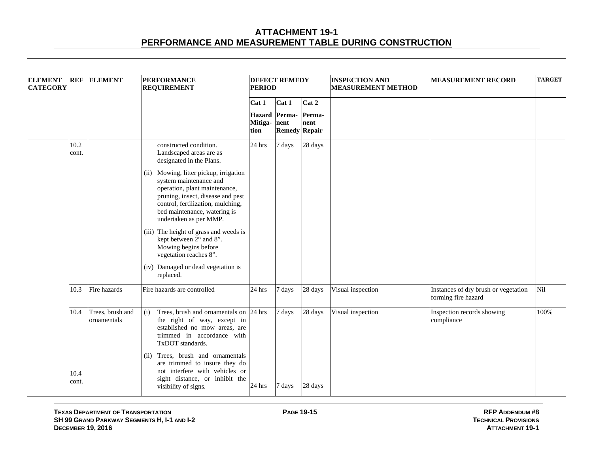| <b>ELEMENT</b><br><b>CATEGORY</b> | <b>REF</b>    | <b>ELEMENT</b>                  | <b>PERFORMANCE</b><br><b>REQUIREMENT</b>                                                                                                                                                                                              | <b>PERIOD</b>       | <b>DEFECT REMEDY</b>                  |                | <b>INSPECTION AND</b><br><b>MEASUREMENT METHOD</b> | <b>MEASUREMENT RECORD</b>                                   | <b>TARGET</b> |
|-----------------------------------|---------------|---------------------------------|---------------------------------------------------------------------------------------------------------------------------------------------------------------------------------------------------------------------------------------|---------------------|---------------------------------------|----------------|----------------------------------------------------|-------------------------------------------------------------|---------------|
|                                   |               |                                 |                                                                                                                                                                                                                                       | Cat 1               | Cat 1                                 | Cat 2          |                                                    |                                                             |               |
|                                   |               |                                 |                                                                                                                                                                                                                                       | Mitiga-nent<br>tion | Hazard Perma-<br><b>Remedy Repair</b> | Perma-<br>nent |                                                    |                                                             |               |
|                                   | 10.2<br>cont. |                                 | constructed condition.<br>Landscaped areas are as<br>designated in the Plans.                                                                                                                                                         | $24$ hrs            | 7 days                                | 28 days        |                                                    |                                                             |               |
|                                   |               |                                 | (ii) Mowing, litter pickup, irrigation<br>system maintenance and<br>operation, plant maintenance,<br>pruning, insect, disease and pest<br>control, fertilization, mulching,<br>bed maintenance, watering is<br>undertaken as per MMP. |                     |                                       |                |                                                    |                                                             |               |
|                                   |               |                                 | (iii) The height of grass and weeds is<br>kept between 2" and 8".<br>Mowing begins before<br>vegetation reaches 8".                                                                                                                   |                     |                                       |                |                                                    |                                                             |               |
|                                   |               |                                 | (iv) Damaged or dead vegetation is<br>replaced.                                                                                                                                                                                       |                     |                                       |                |                                                    |                                                             |               |
|                                   | 10.3          | Fire hazards                    | Fire hazards are controlled                                                                                                                                                                                                           | 24 hrs              | 7 days                                | 28 days        | Visual inspection                                  | Instances of dry brush or vegetation<br>forming fire hazard | Nil           |
|                                   | 10.4          | Trees, brush and<br>ornamentals | Trees, brush and ornamentals on 24 hrs<br>(i)<br>the right of way, except in<br>established no mow areas, are<br>trimmed in accordance with<br>TxDOT standards.                                                                       |                     | 7 days                                | 28 days        | Visual inspection                                  | Inspection records showing<br>compliance                    | 100%          |
|                                   | 10.4<br>cont. |                                 | Trees, brush and ornamentals<br>(ii)<br>are trimmed to insure they do<br>not interfere with vehicles or<br>sight distance, or inhibit the<br>visibility of signs.                                                                     | 24 hrs              | 7 days                                | 28 days        |                                                    |                                                             |               |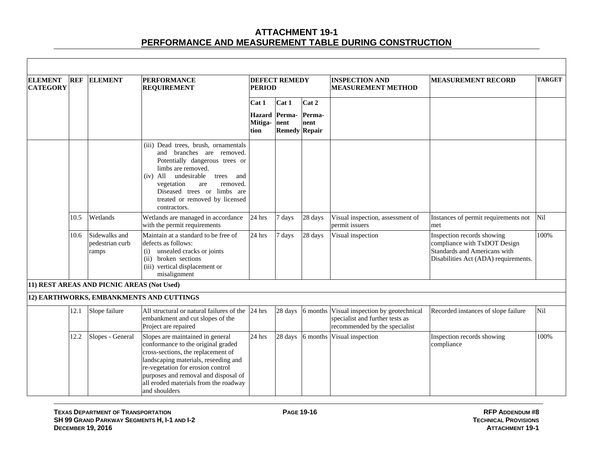| <b>ELEMENT</b><br><b>CATEGORY</b> | <b>REF</b> | <b>ELEMENT</b>                             | <b>PERFORMANCE</b><br><b>REQUIREMENT</b>                                                                                                                                                                                                                                                    | <b>PERIOD</b>                    | <b>DEFECT REMEDY</b>                   |                | <b>INSPECTION AND</b><br><b>MEASUREMENT METHOD</b>                                                    | <b>MEASUREMENT RECORD</b>                                                                                                          | <b>TARGET</b> |
|-----------------------------------|------------|--------------------------------------------|---------------------------------------------------------------------------------------------------------------------------------------------------------------------------------------------------------------------------------------------------------------------------------------------|----------------------------------|----------------------------------------|----------------|-------------------------------------------------------------------------------------------------------|------------------------------------------------------------------------------------------------------------------------------------|---------------|
|                                   |            |                                            |                                                                                                                                                                                                                                                                                             | Cat 1                            | Cat 1                                  | Cat 2          |                                                                                                       |                                                                                                                                    |               |
|                                   |            |                                            |                                                                                                                                                                                                                                                                                             | <b>Hazard</b><br>Mitiga-<br>tion | Perma-<br>nent<br><b>Remedy Repair</b> | Perma-<br>nent |                                                                                                       |                                                                                                                                    |               |
|                                   |            |                                            | (iii) Dead trees, brush, ornamentals<br>branches are removed.<br>and<br>Potentially dangerous trees or<br>limbs are removed.<br>undesirable<br>$(iv)$ All<br>trees<br>and<br>vegetation<br>removed.<br>are<br>Diseased trees or limbs are<br>treated or removed by licensed<br>contractors. |                                  |                                        |                |                                                                                                       |                                                                                                                                    |               |
|                                   | 10.5       | Wetlands                                   | Wetlands are managed in accordance<br>with the permit requirements                                                                                                                                                                                                                          | 24 hrs                           | 7 days                                 | 28 days        | Visual inspection, assessment of<br>permit issuers                                                    | Instances of permit requirements not<br>met                                                                                        | Nil           |
|                                   | 10.6       | Sidewalks and<br>pedestrian curb<br>ramps  | Maintain at a standard to be free of<br>defects as follows:<br>unsealed cracks or joints<br>(i)<br>(ii) broken sections<br>(iii) vertical displacement or<br>misalignment                                                                                                                   | 24 hrs                           | 7 days                                 | 28 days        | Visual inspection                                                                                     | Inspection records showing<br>compliance with TxDOT Design<br>Standards and Americans with<br>Disabilities Act (ADA) requirements. | 100%          |
|                                   |            | 11) REST AREAS AND PICNIC AREAS (Not Used) |                                                                                                                                                                                                                                                                                             |                                  |                                        |                |                                                                                                       |                                                                                                                                    |               |
|                                   |            |                                            | 12) EARTHWORKS, EMBANKMENTS AND CUTTINGS                                                                                                                                                                                                                                                    |                                  |                                        |                |                                                                                                       |                                                                                                                                    |               |
|                                   | 12.1       | Slope failure                              | All structural or natural failures of the<br>embankment and cut slopes of the<br>Project are repaired                                                                                                                                                                                       | $24$ hrs                         | 28 days                                | 6 months       | Visual inspection by geotechnical<br>specialist and further tests as<br>recommended by the specialist | Recorded instances of slope failure                                                                                                | Nil           |
|                                   | 12.2       | Slopes - General                           | Slopes are maintained in general<br>conformance to the original graded<br>cross-sections, the replacement of<br>landscaping materials, reseeding and<br>re-vegetation for erosion control<br>purposes and removal and disposal of<br>all eroded materials from the roadway<br>and shoulders | $24$ hrs                         | 28 days                                | 6 months       | Visual inspection                                                                                     | Inspection records showing<br>compliance                                                                                           | 100%          |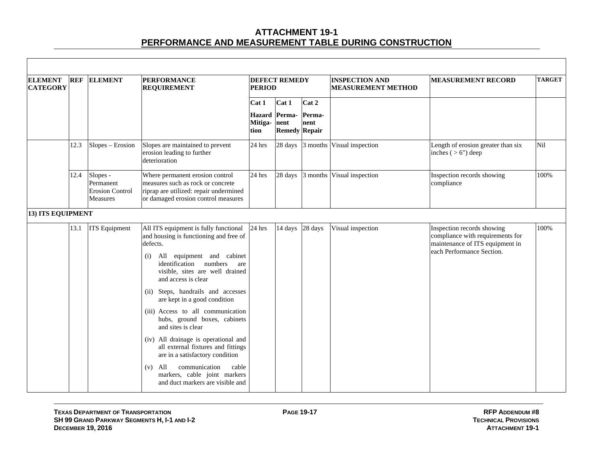| <b>ELEMENT</b><br><b>CATEGORY</b> | <b>REF</b> | <b>ELEMENT</b>                                                     | <b>PERFORMANCE</b><br><b>REQUIREMENT</b>                                                                                                                                                                                                                                                                                                                                                    | <b>PERIOD</b>                             | <b>DEFECT REMEDY</b>    |                                                 | <b>INSPECTION AND</b><br><b>MEASUREMENT METHOD</b> | <b>MEASUREMENT RECORD</b>                                                                                                      | <b>TARGET</b> |
|-----------------------------------|------------|--------------------------------------------------------------------|---------------------------------------------------------------------------------------------------------------------------------------------------------------------------------------------------------------------------------------------------------------------------------------------------------------------------------------------------------------------------------------------|-------------------------------------------|-------------------------|-------------------------------------------------|----------------------------------------------------|--------------------------------------------------------------------------------------------------------------------------------|---------------|
|                                   |            |                                                                    |                                                                                                                                                                                                                                                                                                                                                                                             | Cat 1<br><b>Hazard</b><br>Mitiga-<br>tion | Cat 1<br>Perma-<br>nent | Cat 2<br>Perma-<br>nent<br><b>Remedy Repair</b> |                                                    |                                                                                                                                |               |
|                                   | 12.3       | Slopes - Erosion                                                   | Slopes are maintained to prevent<br>erosion leading to further<br>deterioration                                                                                                                                                                                                                                                                                                             | 24 hrs                                    | 28 days                 | 3 months                                        | Visual inspection                                  | Length of erosion greater than six<br>inches $(>6")$ deep                                                                      | Nil           |
|                                   | 12.4       | Slopes -<br>Permanent<br><b>Erosion Control</b><br><b>Measures</b> | Where permanent erosion control<br>measures such as rock or concrete<br>riprap are utilized: repair undermined<br>or damaged erosion control measures                                                                                                                                                                                                                                       | 24 hrs                                    | 28 days                 | 3 months                                        | Visual inspection                                  | Inspection records showing<br>compliance                                                                                       | 100%          |
| <b>13) ITS EQUIPMENT</b>          |            |                                                                    |                                                                                                                                                                                                                                                                                                                                                                                             |                                           |                         |                                                 |                                                    |                                                                                                                                |               |
|                                   | 13.1       | <b>ITS</b> Equipment                                               | All ITS equipment is fully functional<br>and housing is functioning and free of<br>defects.<br>All equipment and cabinet<br>(i)<br>identification numbers<br>are<br>visible, sites are well drained<br>and access is clear<br>(ii) Steps, handrails and accesses<br>are kept in a good condition<br>(iii) Access to all communication<br>hubs, ground boxes, cabinets<br>and sites is clear | 24 hrs                                    | 14 days                 | 28 days                                         | Visual inspection                                  | Inspection records showing<br>compliance with requirements for<br>maintenance of ITS equipment in<br>each Performance Section. | 100%          |
|                                   |            |                                                                    | (iv) All drainage is operational and<br>all external fixtures and fittings<br>are in a satisfactory condition<br>communication<br>All<br>cable<br>(v)<br>markers, cable joint markers<br>and duct markers are visible and                                                                                                                                                                   |                                           |                         |                                                 |                                                    |                                                                                                                                |               |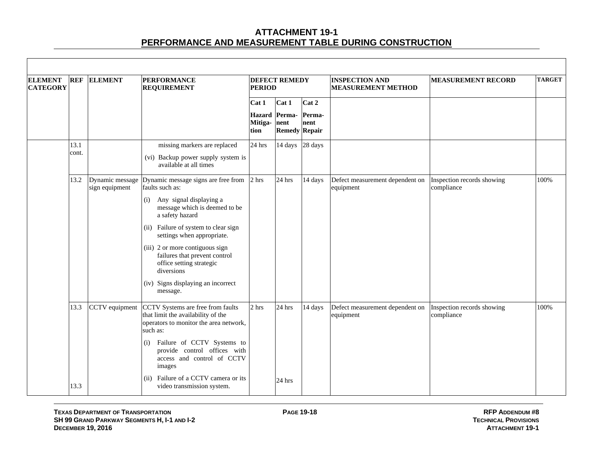| <b>ELEMENT</b><br><b>CATEGORY</b> | <b>REF</b>    | <b>ELEMENT</b> | <b>PERFORMANCE</b><br><b>REQUIREMENT</b>                                                                                                                                                                                                                                                                                                                                                        | <b>PERIOD</b>                | <b>DEFECT REMEDY</b>                           |                         | <b>INSPECTION AND</b><br><b>MEASUREMENT METHOD</b> | <b>MEASUREMENT RECORD</b>                | <b>TARGET</b> |
|-----------------------------------|---------------|----------------|-------------------------------------------------------------------------------------------------------------------------------------------------------------------------------------------------------------------------------------------------------------------------------------------------------------------------------------------------------------------------------------------------|------------------------------|------------------------------------------------|-------------------------|----------------------------------------------------|------------------------------------------|---------------|
|                                   |               |                |                                                                                                                                                                                                                                                                                                                                                                                                 | Cat 1<br>Mitiga-nent<br>tion | Cat 1<br>Hazard Perma-<br><b>Remedy Repair</b> | Cat 2<br>Perma-<br>nent |                                                    |                                          |               |
|                                   | 13.1<br>cont. |                | missing markers are replaced<br>(vi) Backup power supply system is<br>available at all times                                                                                                                                                                                                                                                                                                    | 24 hrs                       | 14 days                                        | 28 days                 |                                                    |                                          |               |
|                                   | 13.2          | sign equipment | Dynamic message Dynamic message signs are free from<br>faults such as:<br>(i) Any signal displaying a<br>message which is deemed to be<br>a safety hazard<br>(ii) Failure of system to clear sign<br>settings when appropriate.<br>(iii) 2 or more contiguous sign<br>failures that prevent control<br>office setting strategic<br>diversions<br>(iv) Signs displaying an incorrect<br>message. | 2 hrs                        | 24 hrs                                         | 14 days                 | Defect measurement dependent on<br>equipment       | Inspection records showing<br>compliance | 100%          |
|                                   | 13.3<br>13.3  | CCTV equipment | CCTV Systems are free from faults<br>that limit the availability of the<br>operators to monitor the area network,<br>such as:<br>Failure of CCTV Systems to<br>(i)<br>provide control offices with<br>access and control of CCTV<br>images<br>(ii) Failure of a CCTV camera or its<br>video transmission system.                                                                                | 2 <sub>hrs</sub>             | 24 hrs<br>24 hrs                               | 14 days                 | Defect measurement dependent on<br>equipment       | Inspection records showing<br>compliance | 100%          |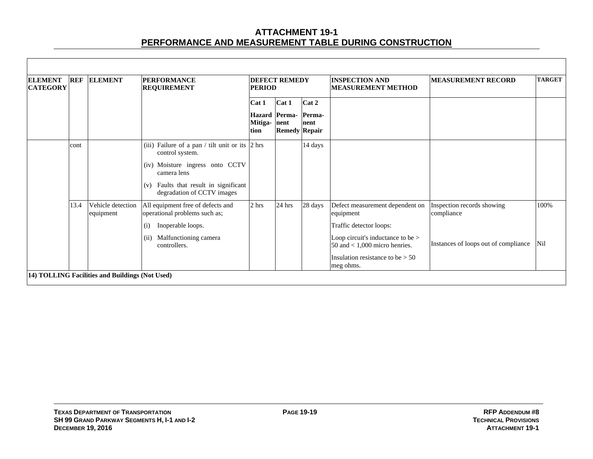| <b>ELEMENT</b><br><b>CATEGORY</b> | <b>REF</b> | <b>ELEMENT</b>                 | <b>PERFORMANCE</b><br><b>REQUIREMENT</b>                                                                                                                                                                   | <b>DEFECT REMEDY</b><br><b>PERIOD</b> |                                                               |                         | <b>INSPECTION AND</b><br><b>MEASUREMENT METHOD</b>                                                                                                                                                 | <b>MEASUREMENT RECORD</b>                                                        | <b>TARGET</b> |
|-----------------------------------|------------|--------------------------------|------------------------------------------------------------------------------------------------------------------------------------------------------------------------------------------------------------|---------------------------------------|---------------------------------------------------------------|-------------------------|----------------------------------------------------------------------------------------------------------------------------------------------------------------------------------------------------|----------------------------------------------------------------------------------|---------------|
|                                   |            |                                |                                                                                                                                                                                                            | Cat 1<br>Mitiga-<br>tion              | Cat 1<br><b>Hazard</b> Perma-<br>nent<br><b>Remedy Repair</b> | Cat 2<br>Perma-<br>nent |                                                                                                                                                                                                    |                                                                                  |               |
|                                   | cont       |                                | (iii) Failure of a pan / tilt unit or its $ 2 \text{ hrs} $<br>control system.<br>(iv) Moisture ingress onto CCTV<br>camera lens<br>Faults that result in significant<br>(v)<br>degradation of CCTV images |                                       |                                                               | 14 days                 |                                                                                                                                                                                                    |                                                                                  |               |
|                                   | 13.4       | Vehicle detection<br>equipment | All equipment free of defects and<br>operational problems such as;<br>Inoperable loops.<br>(i)<br>Malfunctioning camera<br>(ii)<br>controllers.                                                            | 2 <sub>hrs</sub>                      | 24 hrs                                                        | 28 days                 | Defect measurement dependent on<br>equipment<br>Traffic detector loops:<br>Loop circuit's inductance to be ><br>50 and $<$ 1,000 micro henries.<br>Insulation resistance to be $> 50$<br>meg ohms. | Inspection records showing<br>compliance<br>Instances of loops out of compliance | 100%<br>Nil   |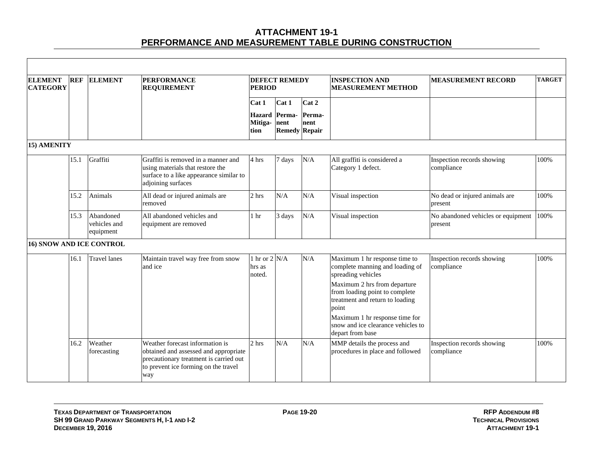| <b>ELEMENT</b><br><b>CATEGORY</b> | <b>REF</b> | <b>ELEMENT</b>                         | <b>PERFORMANCE</b><br><b>REQUIREMENT</b>                                                                                                                          | <b>PERIOD</b>                                    | <b>DEFECT REMEDY</b>                  |                         | <b>INSPECTION AND</b><br><b>MEASUREMENT METHOD</b>                                                                                                                                                                                     | <b>MEASUREMENT RECORD</b>                     | <b>TARGET</b> |
|-----------------------------------|------------|----------------------------------------|-------------------------------------------------------------------------------------------------------------------------------------------------------------------|--------------------------------------------------|---------------------------------------|-------------------------|----------------------------------------------------------------------------------------------------------------------------------------------------------------------------------------------------------------------------------------|-----------------------------------------------|---------------|
|                                   |            |                                        |                                                                                                                                                                   | Cat 1<br><b>Hazard</b> Perma-<br>Mitiga-<br>tion | Cat 1<br>nent<br><b>Remedy Repair</b> | Cat 2<br>Perma-<br>nent |                                                                                                                                                                                                                                        |                                               |               |
| 15) AMENITY                       |            |                                        |                                                                                                                                                                   |                                                  |                                       |                         |                                                                                                                                                                                                                                        |                                               |               |
|                                   | 15.1       | Graffiti                               | Graffiti is removed in a manner and<br>using materials that restore the<br>surface to a like appearance similar to<br>adjoining surfaces                          | 4 hrs                                            | 7 days                                | N/A                     | All graffiti is considered a<br>Category 1 defect.                                                                                                                                                                                     | Inspection records showing<br>compliance      | 100%          |
|                                   | 15.2       | Animals                                | All dead or injured animals are<br>removed                                                                                                                        | 2 hrs                                            | N/A                                   | N/A                     | Visual inspection                                                                                                                                                                                                                      | No dead or injured animals are<br>present     | 100%          |
|                                   | 15.3       | Abandoned<br>vehicles and<br>equipment | All abandoned vehicles and<br>equipment are removed                                                                                                               | 1 <sub>hr</sub>                                  | 3 days                                | N/A                     | Visual inspection                                                                                                                                                                                                                      | No abandoned vehicles or equipment<br>present | 100%          |
| <b>16) SNOW AND ICE CONTROL</b>   |            |                                        |                                                                                                                                                                   |                                                  |                                       |                         |                                                                                                                                                                                                                                        |                                               |               |
|                                   | 16.1       | <b>Travel lanes</b>                    | Maintain travel way free from snow<br>and ice                                                                                                                     | 1 hr or $2$ N/A<br>hrs as<br>noted.              |                                       | N/A                     | Maximum 1 hr response time to<br>complete manning and loading of<br>spreading vehicles<br>Maximum 2 hrs from departure<br>from loading point to complete<br>treatment and return to loading<br>point<br>Maximum 1 hr response time for | Inspection records showing<br>compliance      | 100%          |
|                                   |            |                                        |                                                                                                                                                                   |                                                  |                                       |                         | snow and ice clearance vehicles to<br>depart from base                                                                                                                                                                                 |                                               |               |
|                                   | 16.2       | Weather<br>forecasting                 | Weather forecast information is<br>obtained and assessed and appropriate<br>precautionary treatment is carried out<br>to prevent ice forming on the travel<br>way | 2 hrs                                            | N/A                                   | N/A                     | MMP details the process and<br>procedures in place and followed                                                                                                                                                                        | Inspection records showing<br>compliance      | 100%          |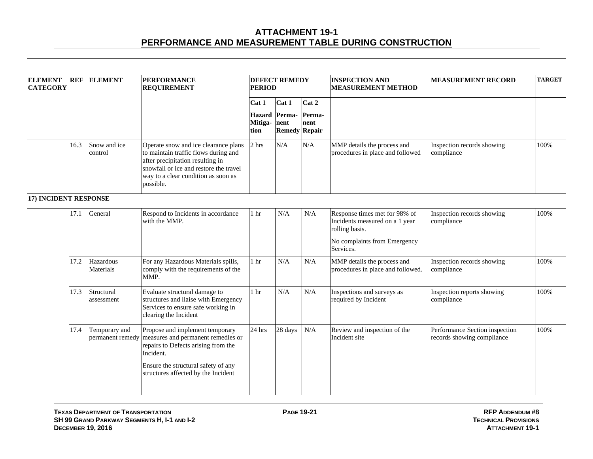| <b>ELEMENT</b><br><b>CATEGORY</b> | <b>REF</b> | <b>ELEMENT</b>           | <b>PERFORMANCE</b><br><b>REQUIREMENT</b>                                                                                                                                                                       | <b>PERIOD</b>                    | <b>DEFECT REMEDY</b>                   |                | <b>INSPECTION AND</b><br><b>MEASUREMENT METHOD</b>                                | <b>MEASUREMENT RECORD</b>                                    | <b>TARGET</b> |
|-----------------------------------|------------|--------------------------|----------------------------------------------------------------------------------------------------------------------------------------------------------------------------------------------------------------|----------------------------------|----------------------------------------|----------------|-----------------------------------------------------------------------------------|--------------------------------------------------------------|---------------|
|                                   |            |                          |                                                                                                                                                                                                                | Cat 1                            | Cat 1                                  | Cat 2          |                                                                                   |                                                              |               |
|                                   |            |                          |                                                                                                                                                                                                                | <b>Hazard</b><br>Mitiga-<br>tion | Perma-<br>nent<br><b>Remedy Repair</b> | Perma-<br>nent |                                                                                   |                                                              |               |
|                                   | 16.3       | Snow and ice<br>control  | Operate snow and ice clearance plans<br>to maintain traffic flows during and<br>after precipitation resulting in<br>snowfall or ice and restore the travel<br>way to a clear condition as soon as<br>possible. | 2 hrs                            | N/A                                    | N/A            | MMP details the process and<br>procedures in place and followed                   | Inspection records showing<br>compliance                     | 100%          |
| 17) INCIDENT RESPONSE             |            |                          |                                                                                                                                                                                                                |                                  |                                        |                |                                                                                   |                                                              |               |
|                                   | 17.1       | General                  | Respond to Incidents in accordance<br>with the MMP.                                                                                                                                                            | 1 <sub>hr</sub>                  | N/A                                    | N/A            | Response times met for 98% of<br>Incidents measured on a 1 year<br>rolling basis. | Inspection records showing<br>compliance                     | 100%          |
|                                   |            |                          |                                                                                                                                                                                                                |                                  |                                        |                | No complaints from Emergency<br>Services.                                         |                                                              |               |
|                                   | 17.2       | Hazardous<br>Materials   | For any Hazardous Materials spills,<br>comply with the requirements of the<br>MMP.                                                                                                                             | 1 <sub>hr</sub>                  | N/A                                    | N/A            | MMP details the process and<br>procedures in place and followed.                  | Inspection records showing<br>compliance                     | 100%          |
|                                   | 17.3       | Structural<br>assessment | Evaluate structural damage to<br>structures and liaise with Emergency<br>Services to ensure safe working in<br>clearing the Incident                                                                           | 1 <sub>hr</sub>                  | N/A                                    | N/A            | Inspections and surveys as<br>required by Incident                                | Inspection reports showing<br>compliance                     | 100%          |
|                                   | 17.4       | Temporary and            | Propose and implement temporary<br>permanent remedy measures and permanent remedies or<br>repairs to Defects arising from the<br>Incident.                                                                     | 24 hrs                           | 28 days                                | N/A            | Review and inspection of the<br>Incident site                                     | Performance Section inspection<br>records showing compliance | 100%          |
|                                   |            |                          | Ensure the structural safety of any<br>structures affected by the Incident                                                                                                                                     |                                  |                                        |                |                                                                                   |                                                              |               |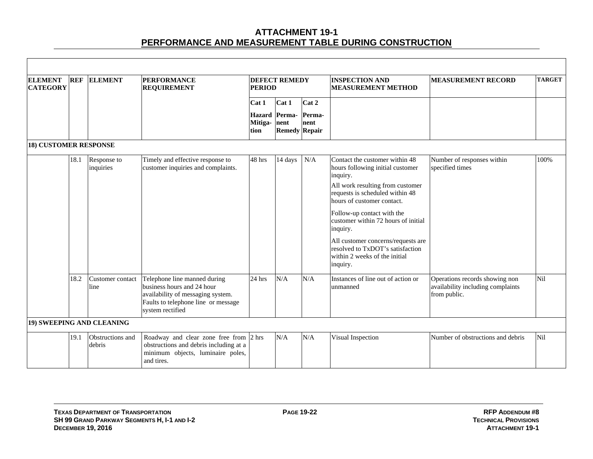| <b>ELEMENT</b><br><b>CATEGORY</b> | <b>REF</b> | <b>ELEMENT</b>             | <b>PERFORMANCE</b><br><b>REQUIREMENT</b>                                                                                                                   | <b>PERIOD</b>        | <b>DEFECT REMEDY</b>                  |                | <b>INSPECTION AND</b><br><b>MEASUREMENT METHOD</b>                                                                                                                                                                                                                                                                                                                                          | <b>MEASUREMENT RECORD</b>                                                           | <b>TARGET</b> |
|-----------------------------------|------------|----------------------------|------------------------------------------------------------------------------------------------------------------------------------------------------------|----------------------|---------------------------------------|----------------|---------------------------------------------------------------------------------------------------------------------------------------------------------------------------------------------------------------------------------------------------------------------------------------------------------------------------------------------------------------------------------------------|-------------------------------------------------------------------------------------|---------------|
|                                   |            |                            |                                                                                                                                                            | Cat 1                | Cat 1                                 | Cat 2          |                                                                                                                                                                                                                                                                                                                                                                                             |                                                                                     |               |
|                                   |            |                            |                                                                                                                                                            | Mitiga- nent<br>tion | Hazard Perma-<br><b>Remedy Repair</b> | Perma-<br>nent |                                                                                                                                                                                                                                                                                                                                                                                             |                                                                                     |               |
| <b>18) CUSTOMER RESPONSE</b>      |            |                            |                                                                                                                                                            |                      |                                       |                |                                                                                                                                                                                                                                                                                                                                                                                             |                                                                                     |               |
|                                   | 18.1       | Response to<br>inquiries   | Timely and effective response to<br>customer inquiries and complaints.                                                                                     | 48 hrs               | 14 days                               | $\rm N/A$      | Contact the customer within 48<br>hours following initial customer<br>inquiry.<br>All work resulting from customer<br>requests is scheduled within 48<br>hours of customer contact.<br>Follow-up contact with the<br>customer within 72 hours of initial<br>inquiry.<br>All customer concerns/requests are<br>resolved to TxDOT's satisfaction<br>within 2 weeks of the initial<br>inquiry. | Number of responses within<br>specified times                                       | 100%          |
|                                   | 18.2       | Customer contact<br>line   | Telephone line manned during<br>business hours and 24 hour<br>availability of messaging system.<br>Faults to telephone line or message<br>system rectified | $24$ hrs             | N/A                                   | N/A            | Instances of line out of action or<br>unmanned                                                                                                                                                                                                                                                                                                                                              | Operations records showing non<br>availability including complaints<br>from public. | Nil           |
|                                   |            | 19) SWEEPING AND CLEANING  |                                                                                                                                                            |                      |                                       |                |                                                                                                                                                                                                                                                                                                                                                                                             |                                                                                     |               |
|                                   | 19.1       | Obstructions and<br>debris | Roadway and clear zone free from 2 hrs<br>obstructions and debris including at a<br>minimum objects, luminaire poles,<br>and tires.                        |                      | N/A                                   | N/A            | Visual Inspection                                                                                                                                                                                                                                                                                                                                                                           | Number of obstructions and debris                                                   | Nil           |